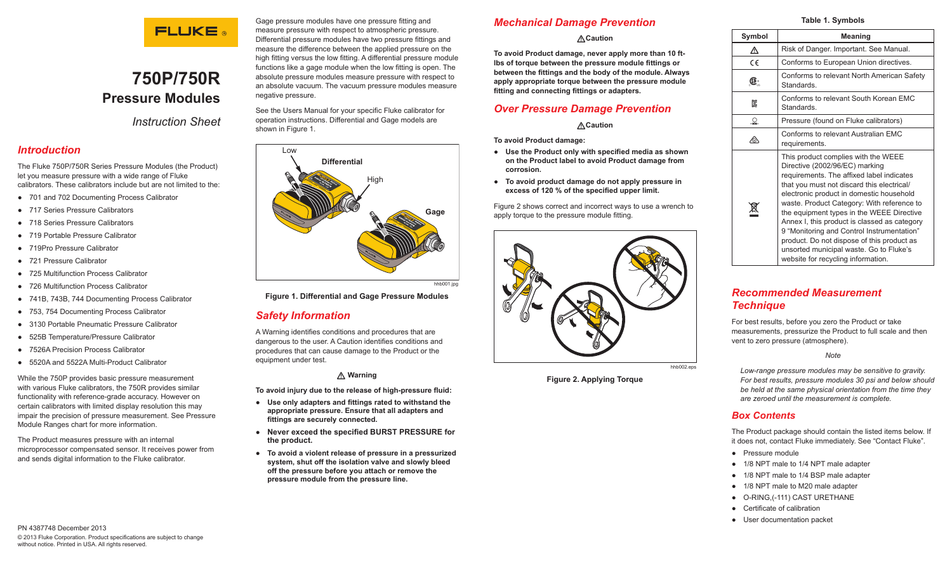

# **750P/750R Pressure Modules**

*Instruction Sheet*

### *Introduction*

The Fluke 750P/750R Series Pressure Modules (the Product) let you measure pressure with a wide range of Fluke calibrators. These calibrators include but are not limited to the:

- **●** 701 and 702 Documenting Process Calibrator
- **●** 717 Series Pressure Calibrators
- **●** 718 Series Pressure Calibrators
- **●** 719 Portable Pressure Calibrator
- **●** 719Pro Pressure Calibrator
- **●** 721 Pressure Calibrator
- **●** 725 Multifunction Process Calibrator
- **●** 726 Multifunction Process Calibrator
- **●** 741B, 743B, 744 Documenting Process Calibrator
- **●** 753, 754 Documenting Process Calibrator
- **●** 3130 Portable Pneumatic Pressure Calibrator
- **●** 525B Temperature/Pressure Calibrator
- **●** 7526A Precision Process Calibrator
- **●** 5520A and 5522A Multi-Product Calibrator

While the 750P provides basic pressure measurement with various Fluke calibrators, the 750R provides similar functionality with reference-grade accuracy. However on certain calibrators with limited display resolution this may impair the precision of pressure measurement. See Pressure Module Ranges chart for more information.

The Product measures pressure with an internal microprocessor compensated sensor. It receives power from and sends digital information to the Fluke calibrator.

Gage pressure modules have one pressure fitting and measure pressure with respect to atmospheric pressure. Differential pressure modules have two pressure fittings and measure the difference between the applied pressure on the high fitting versus the low fitting. A differential pressure module functions like a gage module when the low fitting is open. The absolute pressure modules measure pressure with respect to an absolute vacuum. The vacuum pressure modules measure negative pressure.

See the Users Manual for your specific Fluke calibrator for operation instructions. Differential and Gage models are shown in Figure 1.



hhh001.jpg

#### **Figure 1. Differential and Gage Pressure Modules**

# *Safety Information*

A Warning identifies conditions and procedures that are dangerous to the user. A Caution identifies conditions and procedures that can cause damage to the Product or the equipment under test.

#### **Warning**

**To avoid injury due to the release of high-pressure fluid:**

- **● Use only adapters and fittings rated to withstand the appropriate pressure. Ensure that all adapters and fittings are securely connected.**
- **● Never exceed the specified BURST PRESSURE for the product.**
- **● To avoid a violent release of pressure in a pressurized system, shut off the isolation valve and slowly bleed off the pressure before you attach or remove the pressure module from the pressure line.**

# *Mechanical Damage Prevention*

#### **Caution**

**To avoid Product damage, never apply more than 10 ftlbs of torque between the pressure module fittings or between the fittings and the body of the module. Always apply appropriate torque between the pressure module fitting and connecting fittings or adapters.** 

# *Over Pressure Damage Prevention*

#### **Caution**

**To avoid Product damage:**

- **● Use the Product only with specified media as shown on the Product label to avoid Product damage from corrosion.**
- **● To avoid product damage do not apply pressure in excess of 120 % of the specified upper limit.**

Figure 2 shows correct and incorrect ways to use a wrench to apply torque to the pressure module fitting.



**Figure 2. Applying Torque**

#### **Table 1. Symbols Symbol Meaning** Risk of Danger. Important. See Manual CE Conforms to European Union directives. Conforms to relevant North American Safety Standards. Conforms to relevant South Korean EMC Standards.  $\Omega$  | Pressure (found on Fluke calibrators) Conforms to relevant Australian EMC requirements. 凰 This product complies with the WEEE Directive (2002/96/EC) marking requirements. The affixed label indicates that you must not discard this electrical/ electronic product in domestic household waste. Product Category: With reference to the equipment types in the WEEE Directive Annex I, this product is classed as category 9 "Monitoring and Control Instrumentation" product. Do not dispose of this product as unsorted municipal waste. Go to Fluke's website for recycling information.

### *Recommended Measurement Technique*

For best results, before you zero the Product or take measurements, pressurize the Product to full scale and then vent to zero pressure (atmosphere).

*Note*

*Low-range pressure modules may be sensitive to gravity. For best results, pressure modules 30 psi and below should be held at the same physical orientation from the time they are zeroed until the measurement is complete.* 

### *Box Contents*

The Product package should contain the listed items below. If it does not, contact Fluke immediately. See "Contact Fluke".

- **●** Pressure module
- **●** 1/8 NPT male to 1/4 NPT male adapter
- **●** 1/8 NPT male to 1/4 BSP male adapter
- **●** 1/8 NPT male to M20 male adapter
- **●** O-RING,(-111) CAST URETHANE
- **●** Certificate of calibration
- **●** User documentation packet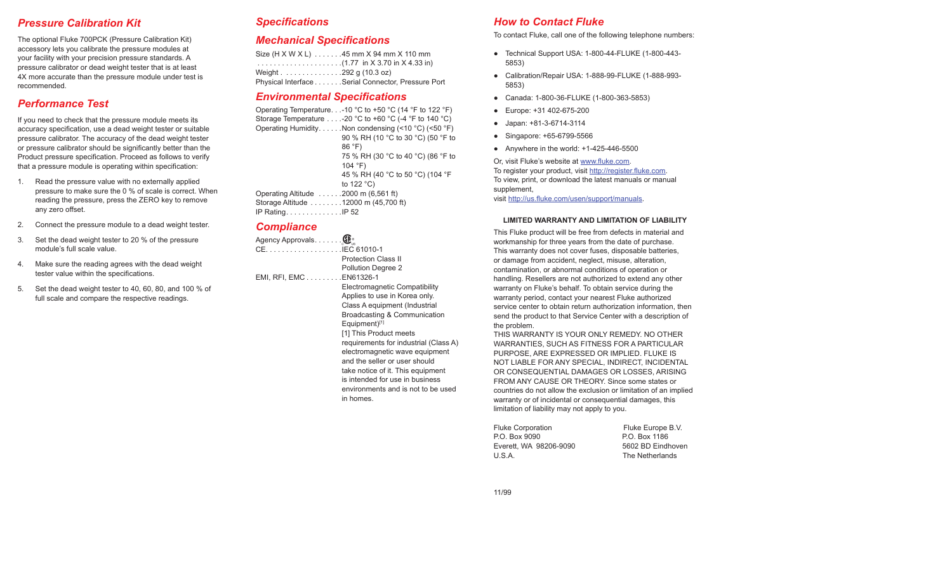### *Pressure Calibration Kit*

The optional Fluke 700PCK (Pressure Calibration Kit) accessory lets you calibrate the pressure modules at your facility with your precision pressure standards. A pressure calibrator or dead weight tester that is at least 4X more accurate than the pressure module under test is recommended.

# *Performance Test*

If you need to check that the pressure module meets its accuracy specification, use a dead weight tester or suitable pressure calibrator. The accuracy of the dead weight tester or pressure calibrator should be significantly better than the Product pressure specification. Proceed as follows to verify that a pressure module is operating within specification:

- 1. Read the pressure value with no externally applied pressure to make sure the 0 % of scale is correct. When reading the pressure, press the ZERO key to remove any zero offset.
- 2. Connect the pressure module to a dead weight tester.
- 3. Set the dead weight tester to 20 % of the pressure module's full scale value.
- 4. Make sure the reading agrees with the dead weight tester value within the specifications.
- 5. Set the dead weight tester to 40, 60, 80, and 100 % of full scale and compare the respective readings.

#### *Specifications*

#### *Mechanical Specifications*

|                        | Size (H X W X L) 45 mm X 94 mm X 110 mm            |
|------------------------|----------------------------------------------------|
|                        |                                                    |
| Weight 292 g (10.3 oz) |                                                    |
|                        | Physical Interface Serial Connector, Pressure Port |

#### *Environmental Specifications*

Operating Temperature.  $1.10 \degree C$  to +50  $\degree C$  (14  $\degree F$  to 122  $\degree F$ ) Storage Temperature  $\dots$  -20 °C to +60 °C (-4 °F to 140 °C) Operating Humidity. . . . . . Non condensing (<10  $°C$ ) (<50  $°F$ ) 90 % RH (10 °C to 30 °C) (50 °F to 86 °F) 75 % RH (30 °C to 40 °C) (86 °F to 104 °F) 45 % RH (40 °C to 50 °C) (104 °F to 122 °C) Operating Altitude  $\ldots \ldots 2000$  m (6,561 ft) Storage Altitude . . . . . . . . 12000 m (45.700 ft) IP Rating . . . . . . . . . . . . . . . IP 52

### *Compliance*

Agency Approvals . . . . . . . **OD** CE . IEC 61010-1 Protection Class II Pollution Degree 2 EMI, RFI, EMC . . . . . . . . . EN61326-1 Electromagnetic Compatibility Applies to use in Korea only. Class A equipment (Industrial Broadcasting & Communication Equipment)[1] [1] This Product meets requirements for industrial (Class A) electromagnetic wave equipment and the seller or user should take notice of it. This equipment is intended for use in business environments and is not to be used in homes.

### *How to Contact Fluke*

To contact Fluke, call one of the following telephone numbers:

- **●** Technical Support USA: 1-800-44-FLUKE (1-800-443- 5853)
- **●** Calibration/Repair USA: 1-888-99-FLUKE (1-888-993- 5853)
- **●** Canada: 1-800-36-FLUKE (1-800-363-5853)
- **●** Europe: +31 402-675-200
- **●** Japan: +81-3-6714-3114
- **●** Singapore: +65-6799-5566
- **●** Anywhere in the world: +1-425-446-5500

Or, visit Fluke's website at www.fluke.com. To register your product, visit http://register.fluke.com. To view, print, or download the latest manuals or manual supplement, visit http://us.fluke.com/usen/support/manuals.

#### **LIMITED WARRANTY AND LIMITATION OF LIABILITY**

This Fluke product will be free from defects in material and workmanship for three years from the date of purchase. This warranty does not cover fuses, disposable batteries, or damage from accident, neglect, misuse, alteration, contamination, or abnormal conditions of operation or handling. Resellers are not authorized to extend any other warranty on Fluke's behalf. To obtain service during the warranty period, contact your nearest Fluke authorized service center to obtain return authorization information, then send the product to that Service Center with a description of the problem.

THIS WARRANTY IS YOUR ONLY REMEDY. NO OTHER WARRANTIES, SUCH AS FITNESS FOR A PARTICULAR PURPOSE, ARE EXPRESSED OR IMPLIED. FLUKE IS NOT LIABLE FOR ANY SPECIAL, INDIRECT, INCIDENTAL OR CONSEQUENTIAL DAMAGES OR LOSSES, ARISING FROM ANY CAUSE OR THEORY. Since some states or countries do not allow the exclusion or limitation of an implied warranty or of incidental or consequential damages, this limitation of liability may not apply to you.

| <b>Fluke Corporation</b> | Fluke Europe B.V. |
|--------------------------|-------------------|
| P.O. Box 9090            | P.O. Box 1186     |
| Everett. WA 98206-9090   | 5602 BD Eindhoven |
| U.S.A.                   | The Netherlands   |